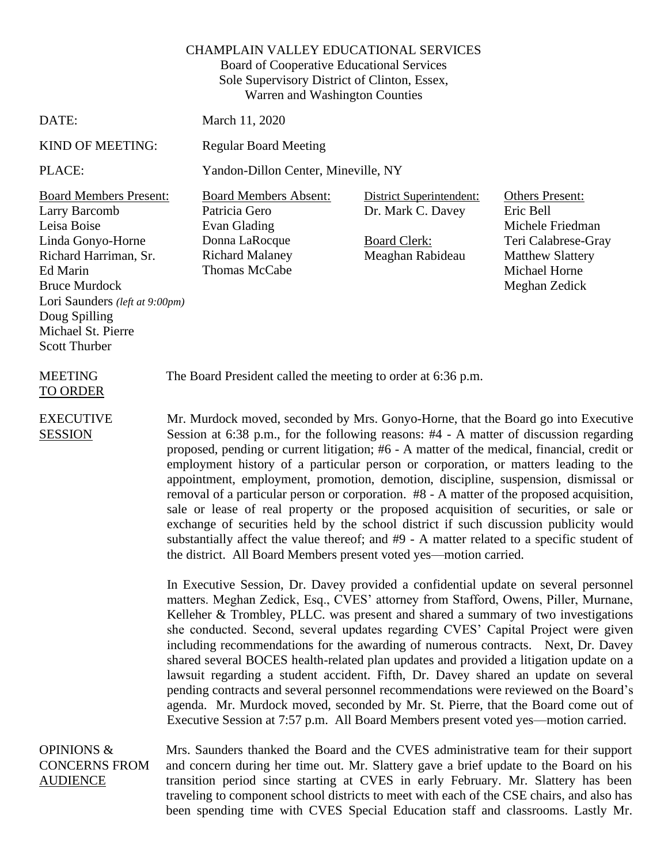## CHAMPLAIN VALLEY EDUCATIONAL SERVICES

Board of Cooperative Educational Services Sole Supervisory District of Clinton, Essex, Warren and Washington Counties

The Board President called the meeting to order at 6:36 p.m.

## DATE: March 11, 2020

KIND OF MEETING: Regular Board Meeting

PLACE: Yandon-Dillon Center, Mineville, NY

Board Members Present: Board Members Absent: District Superintendent: Others Present: Larry Barcomb Leisa Boise Linda Gonyo-Horne Richard Harriman, Sr. Ed Marin Bruce Murdock Lori Saunders *(left at 9:00pm)* Doug Spilling Michael St. Pierre Scott Thurber

Patricia Gero Evan Glading Donna LaRocque Richard Malaney Thomas McCabe

Dr. Mark C. Davey

Board Clerk: Meaghan Rabideau Eric Bell Michele Friedman Teri Calabrese-Gray Matthew Slattery Michael Horne Meghan Zedick

MEETING TO ORDER

EXECUTIVE **SESSION** 

Mr. Murdock moved, seconded by Mrs. Gonyo-Horne, that the Board go into Executive Session at 6:38 p.m., for the following reasons: #4 - A matter of discussion regarding proposed, pending or current litigation; #6 - A matter of the medical, financial, credit or employment history of a particular person or corporation, or matters leading to the appointment, employment, promotion, demotion, discipline, suspension, dismissal or removal of a particular person or corporation. #8 - A matter of the proposed acquisition, sale or lease of real property or the proposed acquisition of securities, or sale or exchange of securities held by the school district if such discussion publicity would substantially affect the value thereof; and #9 - A matter related to a specific student of the district. All Board Members present voted yes—motion carried.

In Executive Session, Dr. Davey provided a confidential update on several personnel matters. Meghan Zedick, Esq., CVES' attorney from Stafford, Owens, Piller, Murnane, Kelleher & Trombley, PLLC. was present and shared a summary of two investigations she conducted. Second, several updates regarding CVES' Capital Project were given including recommendations for the awarding of numerous contracts. Next, Dr. Davey shared several BOCES health-related plan updates and provided a litigation update on a lawsuit regarding a student accident. Fifth, Dr. Davey shared an update on several pending contracts and several personnel recommendations were reviewed on the Board's agenda. Mr. Murdock moved, seconded by Mr. St. Pierre, that the Board come out of Executive Session at 7:57 p.m. All Board Members present voted yes—motion carried.

OPINIONS & CONCERNS FROM AUDIENCE Mrs. Saunders thanked the Board and the CVES administrative team for their support and concern during her time out. Mr. Slattery gave a brief update to the Board on his transition period since starting at CVES in early February. Mr. Slattery has been traveling to component school districts to meet with each of the CSE chairs, and also has been spending time with CVES Special Education staff and classrooms. Lastly Mr.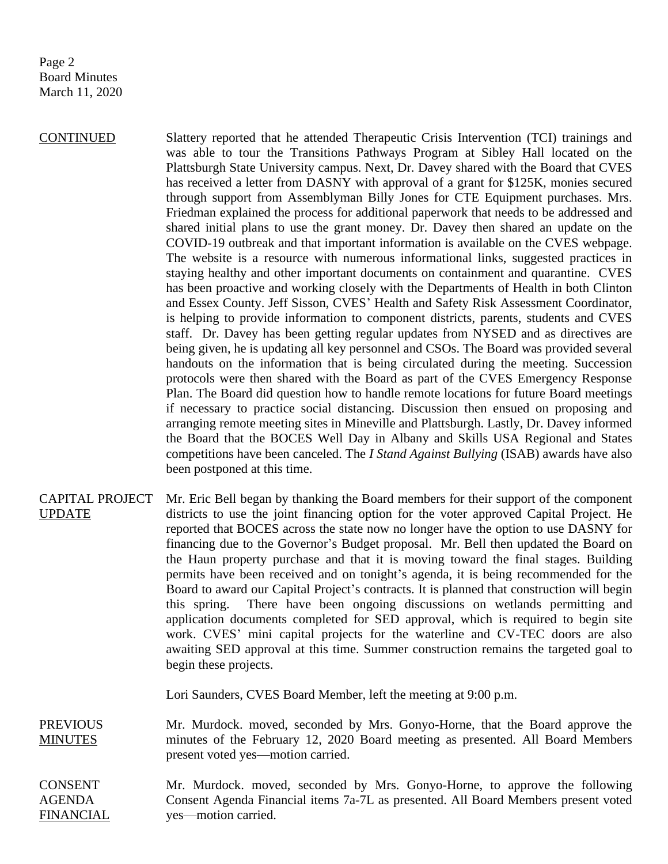Page 2 Board Minutes March 11, 2020

CONTINUED Slattery reported that he attended Therapeutic Crisis Intervention (TCI) trainings and was able to tour the Transitions Pathways Program at Sibley Hall located on the Plattsburgh State University campus. Next, Dr. Davey shared with the Board that CVES has received a letter from DASNY with approval of a grant for \$125K, monies secured through support from Assemblyman Billy Jones for CTE Equipment purchases. Mrs. Friedman explained the process for additional paperwork that needs to be addressed and shared initial plans to use the grant money. Dr. Davey then shared an update on the COVID-19 outbreak and that important information is available on the CVES webpage. The website is a resource with numerous informational links, suggested practices in staying healthy and other important documents on containment and quarantine. CVES has been proactive and working closely with the Departments of Health in both Clinton and Essex County. Jeff Sisson, CVES' Health and Safety Risk Assessment Coordinator, is helping to provide information to component districts, parents, students and CVES staff. Dr. Davey has been getting regular updates from NYSED and as directives are being given, he is updating all key personnel and CSOs. The Board was provided several handouts on the information that is being circulated during the meeting. Succession protocols were then shared with the Board as part of the CVES Emergency Response Plan. The Board did question how to handle remote locations for future Board meetings if necessary to practice social distancing. Discussion then ensued on proposing and arranging remote meeting sites in Mineville and Plattsburgh. Lastly, Dr. Davey informed the Board that the BOCES Well Day in Albany and Skills USA Regional and States competitions have been canceled. The *I Stand Against Bullying* (ISAB) awards have also been postponed at this time.

CAPITAL PROJECT UPDATE Mr. Eric Bell began by thanking the Board members for their support of the component districts to use the joint financing option for the voter approved Capital Project. He reported that BOCES across the state now no longer have the option to use DASNY for financing due to the Governor's Budget proposal. Mr. Bell then updated the Board on the Haun property purchase and that it is moving toward the final stages. Building permits have been received and on tonight's agenda, it is being recommended for the Board to award our Capital Project's contracts. It is planned that construction will begin this spring. There have been ongoing discussions on wetlands permitting and application documents completed for SED approval, which is required to begin site work. CVES' mini capital projects for the waterline and CV-TEC doors are also awaiting SED approval at this time. Summer construction remains the targeted goal to begin these projects.

Lori Saunders, CVES Board Member, left the meeting at 9:00 p.m.

**PREVIOUS MINUTES** Mr. Murdock. moved, seconded by Mrs. Gonyo-Horne, that the Board approve the minutes of the February 12, 2020 Board meeting as presented. All Board Members present voted yes—motion carried.

CONSENT AGENDA FINANCIAL Mr. Murdock. moved, seconded by Mrs. Gonyo-Horne, to approve the following Consent Agenda Financial items 7a-7L as presented. All Board Members present voted yes—motion carried.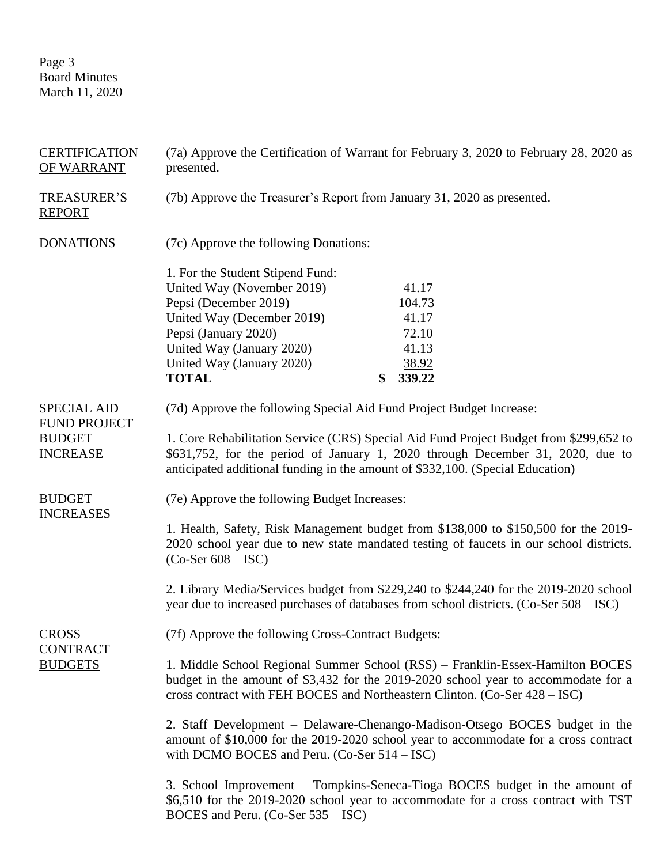Page 3 Board Minutes March 11, 2020

| <b>CERTIFICATION</b><br>OF WARRANT                                            | (7a) Approve the Certification of Warrant for February 3, 2020 to February 28, 2020 as<br>presented.                                                                                                                                                                                                                               |    |                                            |  |
|-------------------------------------------------------------------------------|------------------------------------------------------------------------------------------------------------------------------------------------------------------------------------------------------------------------------------------------------------------------------------------------------------------------------------|----|--------------------------------------------|--|
| <b>TREASURER'S</b><br><b>REPORT</b>                                           | (7b) Approve the Treasurer's Report from January 31, 2020 as presented.                                                                                                                                                                                                                                                            |    |                                            |  |
| <b>DONATIONS</b>                                                              | (7c) Approve the following Donations:                                                                                                                                                                                                                                                                                              |    |                                            |  |
|                                                                               | 1. For the Student Stipend Fund:<br>United Way (November 2019)<br>Pepsi (December 2019)<br>United Way (December 2019)<br>Pepsi (January 2020)<br>United Way (January 2020)                                                                                                                                                         |    | 41.17<br>104.73<br>41.17<br>72.10<br>41.13 |  |
|                                                                               | United Way (January 2020)<br><b>TOTAL</b>                                                                                                                                                                                                                                                                                          | \$ | 38.92<br>339.22                            |  |
| <b>SPECIAL AID</b><br><b>FUND PROJECT</b><br><b>BUDGET</b><br><b>INCREASE</b> | (7d) Approve the following Special Aid Fund Project Budget Increase:<br>1. Core Rehabilitation Service (CRS) Special Aid Fund Project Budget from \$299,652 to<br>\$631,752, for the period of January 1, 2020 through December 31, 2020, due to<br>anticipated additional funding in the amount of \$332,100. (Special Education) |    |                                            |  |
| <b>BUDGET</b>                                                                 | (7e) Approve the following Budget Increases:                                                                                                                                                                                                                                                                                       |    |                                            |  |
| <b>INCREASES</b>                                                              | 1. Health, Safety, Risk Management budget from \$138,000 to \$150,500 for the 2019-<br>2020 school year due to new state mandated testing of faucets in our school districts.<br>$(Co-Set 608 – ISC)$                                                                                                                              |    |                                            |  |
|                                                                               | 2. Library Media/Services budget from \$229,240 to \$244,240 for the 2019-2020 school<br>year due to increased purchases of databases from school districts. (Co-Ser 508 – ISC)                                                                                                                                                    |    |                                            |  |
| <b>CROSS</b>                                                                  | (7f) Approve the following Cross-Contract Budgets:                                                                                                                                                                                                                                                                                 |    |                                            |  |
| <b>CONTRACT</b><br><b>BUDGETS</b>                                             | 1. Middle School Regional Summer School (RSS) – Franklin-Essex-Hamilton BOCES<br>budget in the amount of \$3,432 for the 2019-2020 school year to accommodate for a<br>cross contract with FEH BOCES and Northeastern Clinton. (Co-Ser 428 – ISC)                                                                                  |    |                                            |  |
|                                                                               | 2. Staff Development - Delaware-Chenango-Madison-Otsego BOCES budget in the<br>amount of \$10,000 for the 2019-2020 school year to accommodate for a cross contract<br>with DCMO BOCES and Peru. $(Co-Set 514 – ISC)$                                                                                                              |    |                                            |  |
|                                                                               | 3. School Improvement – Tompkins-Seneca-Tioga BOCES budget in the amount of<br>\$6,510 for the 2019-2020 school year to accommodate for a cross contract with TST<br>BOCES and Peru. (Co-Ser 535 – ISC)                                                                                                                            |    |                                            |  |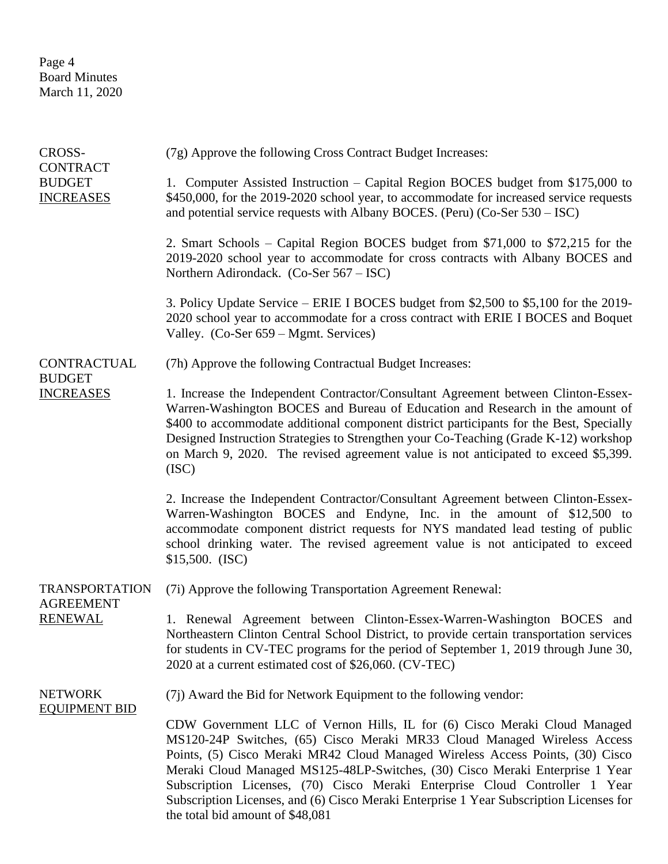Page 4 Board Minutes March 11, 2020

| CROSS-                                               | (7g) Approve the following Cross Contract Budget Increases:                                                                                                                                                                                                                                                                                                                                                                                                                                                                            |
|------------------------------------------------------|----------------------------------------------------------------------------------------------------------------------------------------------------------------------------------------------------------------------------------------------------------------------------------------------------------------------------------------------------------------------------------------------------------------------------------------------------------------------------------------------------------------------------------------|
| <b>CONTRACT</b><br><b>BUDGET</b><br><b>INCREASES</b> | 1. Computer Assisted Instruction – Capital Region BOCES budget from \$175,000 to<br>\$450,000, for the 2019-2020 school year, to accommodate for increased service requests<br>and potential service requests with Albany BOCES. (Peru) (Co-Ser $530 - \text{ISC}$ )                                                                                                                                                                                                                                                                   |
|                                                      | 2. Smart Schools – Capital Region BOCES budget from \$71,000 to \$72,215 for the<br>2019-2020 school year to accommodate for cross contracts with Albany BOCES and<br>Northern Adirondack. (Co-Ser 567 – ISC)                                                                                                                                                                                                                                                                                                                          |
|                                                      | 3. Policy Update Service – ERIE I BOCES budget from \$2,500 to \$5,100 for the 2019-<br>2020 school year to accommodate for a cross contract with ERIE I BOCES and Boquet<br>Valley. (Co-Ser 659 – Mgmt. Services)                                                                                                                                                                                                                                                                                                                     |
| CONTRACTUAL<br><b>BUDGET</b><br><b>INCREASES</b>     | (7h) Approve the following Contractual Budget Increases:                                                                                                                                                                                                                                                                                                                                                                                                                                                                               |
|                                                      | 1. Increase the Independent Contractor/Consultant Agreement between Clinton-Essex-<br>Warren-Washington BOCES and Bureau of Education and Research in the amount of<br>\$400 to accommodate additional component district participants for the Best, Specially<br>Designed Instruction Strategies to Strengthen your Co-Teaching (Grade K-12) workshop<br>on March 9, 2020. The revised agreement value is not anticipated to exceed \$5,399.<br>(ISC)                                                                                 |
|                                                      | 2. Increase the Independent Contractor/Consultant Agreement between Clinton-Essex-<br>Warren-Washington BOCES and Endyne, Inc. in the amount of \$12,500 to<br>accommodate component district requests for NYS mandated lead testing of public<br>school drinking water. The revised agreement value is not anticipated to exceed<br>\$15,500. (ISC)                                                                                                                                                                                   |
| <b>TRANSPORTATION</b><br><b>AGREEMENT</b>            | (7i) Approve the following Transportation Agreement Renewal:                                                                                                                                                                                                                                                                                                                                                                                                                                                                           |
| <b>RENEWAL</b>                                       | 1. Renewal Agreement between Clinton-Essex-Warren-Washington BOCES and<br>Northeastern Clinton Central School District, to provide certain transportation services<br>for students in CV-TEC programs for the period of September 1, 2019 through June 30,<br>2020 at a current estimated cost of \$26,060. (CV-TEC)                                                                                                                                                                                                                   |
| <b>NETWORK</b><br><b>EQUIPMENT BID</b>               | (7j) Award the Bid for Network Equipment to the following vendor:                                                                                                                                                                                                                                                                                                                                                                                                                                                                      |
|                                                      | CDW Government LLC of Vernon Hills, IL for (6) Cisco Meraki Cloud Managed<br>MS120-24P Switches, (65) Cisco Meraki MR33 Cloud Managed Wireless Access<br>Points, (5) Cisco Meraki MR42 Cloud Managed Wireless Access Points, (30) Cisco<br>Meraki Cloud Managed MS125-48LP-Switches, (30) Cisco Meraki Enterprise 1 Year<br>Subscription Licenses, (70) Cisco Meraki Enterprise Cloud Controller 1 Year<br>Subscription Licenses, and (6) Cisco Meraki Enterprise 1 Year Subscription Licenses for<br>the total bid amount of \$48,081 |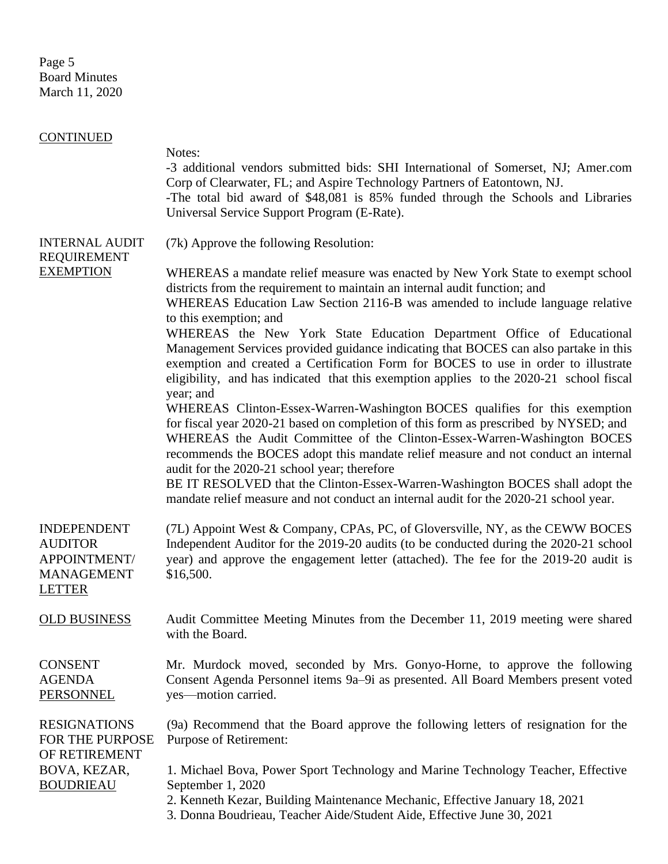Page 5 Board Minutes March 11, 2020

| <b>CONTINUED</b>                                                                            |                                                                                                                                                                                                                                                                                                                                                                                                                                                                                                                                                                |
|---------------------------------------------------------------------------------------------|----------------------------------------------------------------------------------------------------------------------------------------------------------------------------------------------------------------------------------------------------------------------------------------------------------------------------------------------------------------------------------------------------------------------------------------------------------------------------------------------------------------------------------------------------------------|
|                                                                                             | Notes:<br>-3 additional vendors submitted bids: SHI International of Somerset, NJ; Amer.com<br>Corp of Clearwater, FL; and Aspire Technology Partners of Eatontown, NJ.<br>-The total bid award of \$48,081 is 85% funded through the Schools and Libraries<br>Universal Service Support Program (E-Rate).                                                                                                                                                                                                                                                     |
| <b>INTERNAL AUDIT</b><br><b>REQUIREMENT</b>                                                 | (7k) Approve the following Resolution:                                                                                                                                                                                                                                                                                                                                                                                                                                                                                                                         |
| <b>EXEMPTION</b>                                                                            | WHEREAS a mandate relief measure was enacted by New York State to exempt school<br>districts from the requirement to maintain an internal audit function; and<br>WHEREAS Education Law Section 2116-B was amended to include language relative<br>to this exemption; and                                                                                                                                                                                                                                                                                       |
|                                                                                             | WHEREAS the New York State Education Department Office of Educational<br>Management Services provided guidance indicating that BOCES can also partake in this<br>exemption and created a Certification Form for BOCES to use in order to illustrate<br>eligibility, and has indicated that this exemption applies to the 2020-21 school fiscal<br>year; and                                                                                                                                                                                                    |
|                                                                                             | WHEREAS Clinton-Essex-Warren-Washington BOCES qualifies for this exemption<br>for fiscal year 2020-21 based on completion of this form as prescribed by NYSED; and<br>WHEREAS the Audit Committee of the Clinton-Essex-Warren-Washington BOCES<br>recommends the BOCES adopt this mandate relief measure and not conduct an internal<br>audit for the 2020-21 school year; therefore<br>BE IT RESOLVED that the Clinton-Essex-Warren-Washington BOCES shall adopt the<br>mandate relief measure and not conduct an internal audit for the 2020-21 school year. |
| <b>INDEPENDENT</b><br><b>AUDITOR</b><br>APPOINTMENT/<br><b>MANAGEMENT</b><br><b>LETTER</b>  | (7L) Appoint West & Company, CPAs, PC, of Gloversville, NY, as the CEWW BOCES<br>Independent Auditor for the 2019-20 audits (to be conducted during the 2020-21 school<br>year) and approve the engagement letter (attached). The fee for the 2019-20 audit is<br>\$16,500.                                                                                                                                                                                                                                                                                    |
| <b>OLD BUSINESS</b>                                                                         | Audit Committee Meeting Minutes from the December 11, 2019 meeting were shared<br>with the Board.                                                                                                                                                                                                                                                                                                                                                                                                                                                              |
| <b>CONSENT</b><br><b>AGENDA</b><br><b>PERSONNEL</b>                                         | Mr. Murdock moved, seconded by Mrs. Gonyo-Horne, to approve the following<br>Consent Agenda Personnel items 9a–9i as presented. All Board Members present voted<br>yes—motion carried.                                                                                                                                                                                                                                                                                                                                                                         |
| <b>RESIGNATIONS</b><br>FOR THE PURPOSE<br>OF RETIREMENT<br>BOVA, KEZAR,<br><b>BOUDRIEAU</b> | (9a) Recommend that the Board approve the following letters of resignation for the<br><b>Purpose of Retirement:</b>                                                                                                                                                                                                                                                                                                                                                                                                                                            |
|                                                                                             | 1. Michael Bova, Power Sport Technology and Marine Technology Teacher, Effective<br>September 1, 2020<br>2. Kenneth Kezar, Building Maintenance Mechanic, Effective January 18, 2021<br>3. Donna Boudrieau, Teacher Aide/Student Aide, Effective June 30, 2021                                                                                                                                                                                                                                                                                                 |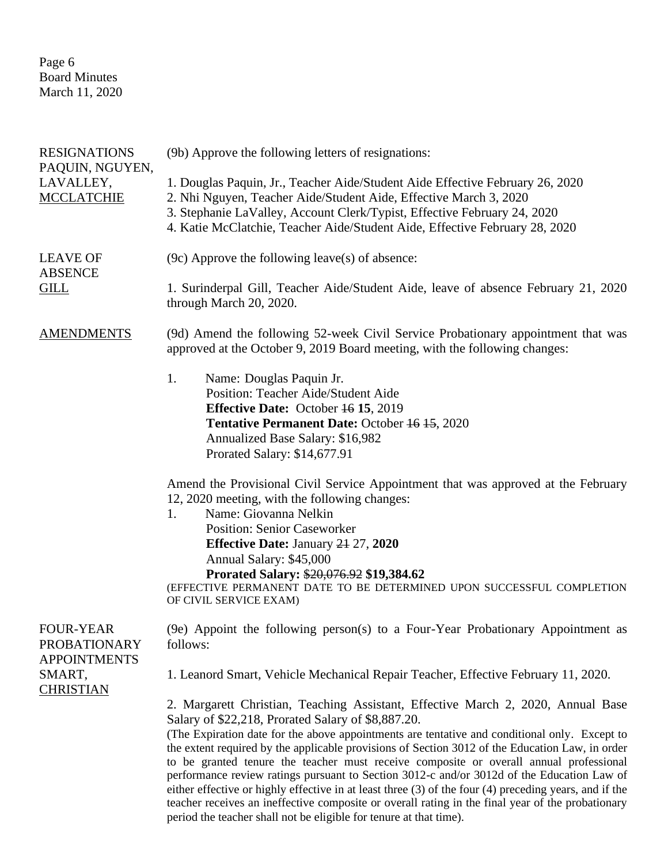Page 6 Board Minutes March 11, 2020

| <b>RESIGNATIONS</b><br>PAQUIN, NGUYEN,                         | (9b) Approve the following letters of resignations:                                                                                                                                                                                                                                                                                                                                                                                                                                                                                                                                                                                                                                                                                                                                                                         |  |  |
|----------------------------------------------------------------|-----------------------------------------------------------------------------------------------------------------------------------------------------------------------------------------------------------------------------------------------------------------------------------------------------------------------------------------------------------------------------------------------------------------------------------------------------------------------------------------------------------------------------------------------------------------------------------------------------------------------------------------------------------------------------------------------------------------------------------------------------------------------------------------------------------------------------|--|--|
| LAVALLEY,<br><b>MCCLATCHIE</b>                                 | 1. Douglas Paquin, Jr., Teacher Aide/Student Aide Effective February 26, 2020<br>2. Nhi Nguyen, Teacher Aide/Student Aide, Effective March 3, 2020<br>3. Stephanie LaValley, Account Clerk/Typist, Effective February 24, 2020<br>4. Katie McClatchie, Teacher Aide/Student Aide, Effective February 28, 2020                                                                                                                                                                                                                                                                                                                                                                                                                                                                                                               |  |  |
| <b>LEAVE OF</b><br><b>ABSENCE</b>                              | $(9c)$ Approve the following leave(s) of absence:                                                                                                                                                                                                                                                                                                                                                                                                                                                                                                                                                                                                                                                                                                                                                                           |  |  |
| <b>GILL</b>                                                    | 1. Surinderpal Gill, Teacher Aide/Student Aide, leave of absence February 21, 2020<br>through March 20, 2020.                                                                                                                                                                                                                                                                                                                                                                                                                                                                                                                                                                                                                                                                                                               |  |  |
| <b>AMENDMENTS</b>                                              | (9d) Amend the following 52-week Civil Service Probationary appointment that was<br>approved at the October 9, 2019 Board meeting, with the following changes:                                                                                                                                                                                                                                                                                                                                                                                                                                                                                                                                                                                                                                                              |  |  |
|                                                                | 1.<br>Name: Douglas Paquin Jr.<br>Position: Teacher Aide/Student Aide<br><b>Effective Date:</b> October 46 15, 2019<br>Tentative Permanent Date: October 46 45, 2020<br>Annualized Base Salary: \$16,982<br>Prorated Salary: \$14,677.91                                                                                                                                                                                                                                                                                                                                                                                                                                                                                                                                                                                    |  |  |
|                                                                | Amend the Provisional Civil Service Appointment that was approved at the February<br>12, 2020 meeting, with the following changes:<br>Name: Giovanna Nelkin<br>1.<br><b>Position: Senior Caseworker</b><br><b>Effective Date: January 24 27, 2020</b><br>Annual Salary: \$45,000<br>Prorated Salary: \$20,076.92 \$19,384.62<br>(EFFECTIVE PERMANENT DATE TO BE DETERMINED UPON SUCCESSFUL COMPLETION<br>OF CIVIL SERVICE EXAM)                                                                                                                                                                                                                                                                                                                                                                                             |  |  |
| <b>FOUR-YEAR</b><br><b>PROBATIONARY</b><br><b>APPOINTMENTS</b> | (9e) Appoint the following person(s) to a Four-Year Probationary Appointment as<br>follows:                                                                                                                                                                                                                                                                                                                                                                                                                                                                                                                                                                                                                                                                                                                                 |  |  |
| SMART,<br><b>CHRISTIAN</b>                                     | 1. Leanord Smart, Vehicle Mechanical Repair Teacher, Effective February 11, 2020.                                                                                                                                                                                                                                                                                                                                                                                                                                                                                                                                                                                                                                                                                                                                           |  |  |
|                                                                | 2. Margarett Christian, Teaching Assistant, Effective March 2, 2020, Annual Base<br>Salary of \$22,218, Prorated Salary of \$8,887.20.<br>(The Expiration date for the above appointments are tentative and conditional only. Except to<br>the extent required by the applicable provisions of Section 3012 of the Education Law, in order<br>to be granted tenure the teacher must receive composite or overall annual professional<br>performance review ratings pursuant to Section 3012-c and/or 3012d of the Education Law of<br>either effective or highly effective in at least three $(3)$ of the four $(4)$ preceding years, and if the<br>teacher receives an ineffective composite or overall rating in the final year of the probationary<br>period the teacher shall not be eligible for tenure at that time). |  |  |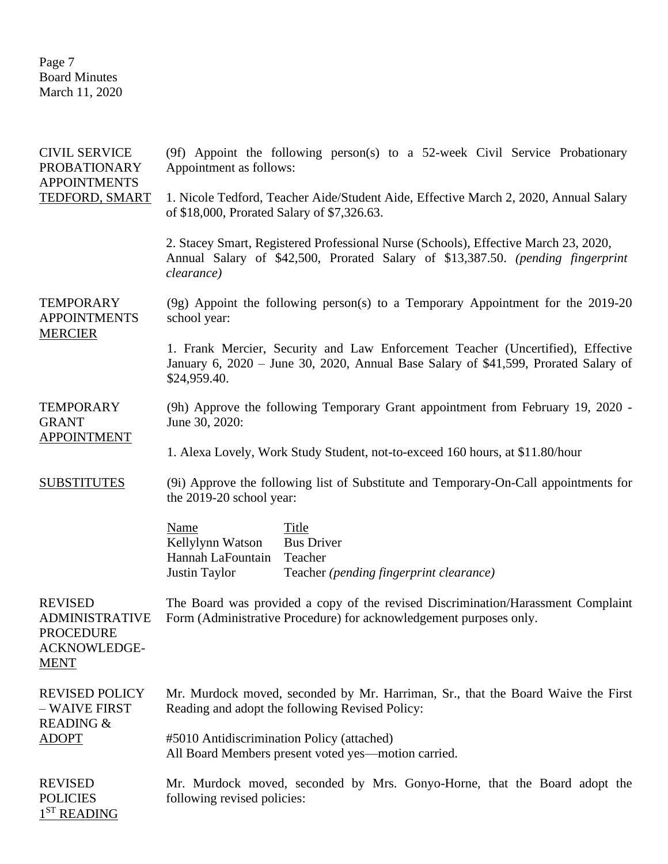Page 7 Board Minutes March 11, 2020

| <b>CIVIL SERVICE</b><br><b>PROBATIONARY</b><br><b>APPOINTMENTS</b><br>TEDFORD, SMART              | (9f) Appoint the following person(s) to a 52-week Civil Service Probationary<br>Appointment as follows:                                                                                |  |  |
|---------------------------------------------------------------------------------------------------|----------------------------------------------------------------------------------------------------------------------------------------------------------------------------------------|--|--|
|                                                                                                   | 1. Nicole Tedford, Teacher Aide/Student Aide, Effective March 2, 2020, Annual Salary<br>of \$18,000, Prorated Salary of \$7,326.63.                                                    |  |  |
|                                                                                                   | 2. Stacey Smart, Registered Professional Nurse (Schools), Effective March 23, 2020,<br>Annual Salary of \$42,500, Prorated Salary of \$13,387.50. (pending fingerprint<br>clearance)   |  |  |
| <b>TEMPORARY</b><br><b>APPOINTMENTS</b><br><b>MERCIER</b>                                         | $(9g)$ Appoint the following person(s) to a Temporary Appointment for the 2019-20<br>school year:                                                                                      |  |  |
|                                                                                                   | 1. Frank Mercier, Security and Law Enforcement Teacher (Uncertified), Effective<br>January 6, 2020 - June 30, 2020, Annual Base Salary of \$41,599, Prorated Salary of<br>\$24,959.40. |  |  |
| <b>TEMPORARY</b><br><b>GRANT</b>                                                                  | (9h) Approve the following Temporary Grant appointment from February 19, 2020 -<br>June 30, 2020:                                                                                      |  |  |
| <b>APPOINTMENT</b>                                                                                | 1. Alexa Lovely, Work Study Student, not-to-exceed 160 hours, at \$11.80/hour                                                                                                          |  |  |
| <b>SUBSTITUTES</b>                                                                                | (9i) Approve the following list of Substitute and Temporary-On-Call appointments for<br>the 2019-20 school year:                                                                       |  |  |
|                                                                                                   | Name<br>Title<br>Kellylynn Watson<br><b>Bus Driver</b><br>Hannah LaFountain<br>Teacher<br>Justin Taylor<br>Teacher (pending fingerprint clearance)                                     |  |  |
| <b>REVISED</b><br><b>ADMINISTRATIVE</b><br><b>PROCEDURE</b><br><b>ACKNOWLEDGE-</b><br><b>MENT</b> | The Board was provided a copy of the revised Discrimination/Harassment Complaint<br>Form (Administrative Procedure) for acknowledgement purposes only.                                 |  |  |
| <b>REVISED POLICY</b><br>- WAIVE FIRST<br><b>READING &amp;</b><br><b>ADOPT</b>                    | Mr. Murdock moved, seconded by Mr. Harriman, Sr., that the Board Waive the First<br>Reading and adopt the following Revised Policy:                                                    |  |  |
|                                                                                                   | #5010 Antidiscrimination Policy (attached)<br>All Board Members present voted yes—motion carried.                                                                                      |  |  |
| <b>REVISED</b><br><b>POLICIES</b><br>1 <sup>ST</sup> READING                                      | Mr. Murdock moved, seconded by Mrs. Gonyo-Horne, that the Board adopt the<br>following revised policies:                                                                               |  |  |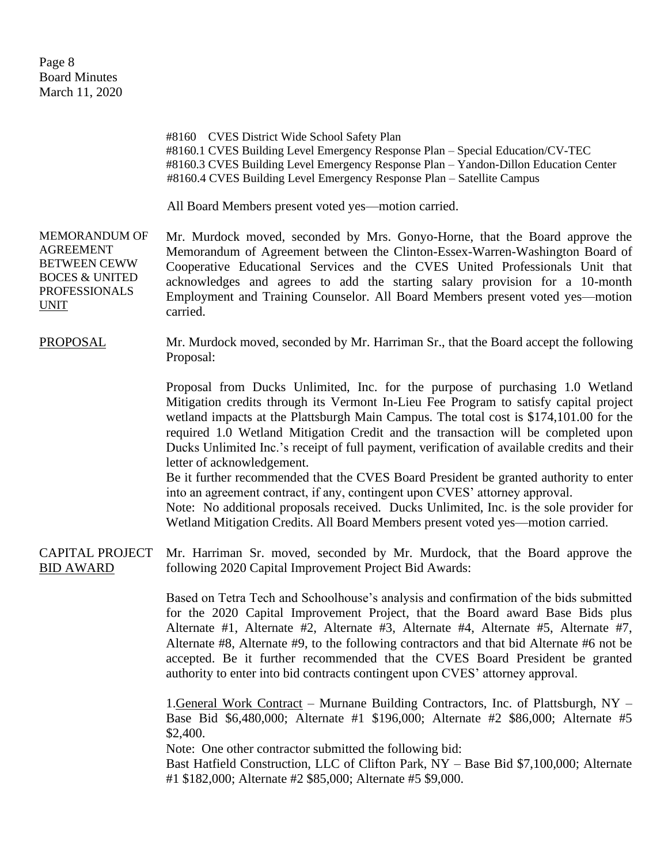#8160 CVES District Wide School Safety Plan #8160.1 CVES Building Level Emergency Response Plan – Special Education/CV-TEC #8160.3 CVES Building Level Emergency Response Plan – Yandon-Dillon Education Center #8160.4 CVES Building Level Emergency Response Plan – Satellite Campus

All Board Members present voted yes—motion carried.

MEMORANDUM OF AGREEMENT BETWEEN CEWW BOCES & UNITED PROFESSIONALS UNIT Mr. Murdock moved, seconded by Mrs. Gonyo-Horne, that the Board approve the Memorandum of Agreement between the Clinton-Essex-Warren-Washington Board of Cooperative Educational Services and the CVES United Professionals Unit that acknowledges and agrees to add the starting salary provision for a 10-month Employment and Training Counselor. All Board Members present voted yes—motion carried.

## PROPOSAL Mr. Murdock moved, seconded by Mr. Harriman Sr., that the Board accept the following Proposal:

Proposal from Ducks Unlimited, Inc. for the purpose of purchasing 1.0 Wetland Mitigation credits through its Vermont In-Lieu Fee Program to satisfy capital project wetland impacts at the Plattsburgh Main Campus. The total cost is \$174,101.00 for the required 1.0 Wetland Mitigation Credit and the transaction will be completed upon Ducks Unlimited Inc.'s receipt of full payment, verification of available credits and their letter of acknowledgement.

Be it further recommended that the CVES Board President be granted authority to enter into an agreement contract, if any, contingent upon CVES' attorney approval.

Note: No additional proposals received. Ducks Unlimited, Inc. is the sole provider for Wetland Mitigation Credits. All Board Members present voted yes—motion carried.

## CAPITAL PROJECT BID AWARD Mr. Harriman Sr. moved, seconded by Mr. Murdock, that the Board approve the following 2020 Capital Improvement Project Bid Awards:

Based on Tetra Tech and Schoolhouse's analysis and confirmation of the bids submitted for the 2020 Capital Improvement Project, that the Board award Base Bids plus Alternate #1, Alternate #2, Alternate #3, Alternate #4, Alternate #5, Alternate #7, Alternate #8, Alternate #9, to the following contractors and that bid Alternate #6 not be accepted. Be it further recommended that the CVES Board President be granted authority to enter into bid contracts contingent upon CVES' attorney approval.

1.General Work Contract – Murnane Building Contractors, Inc. of Plattsburgh, NY – Base Bid \$6,480,000; Alternate #1 \$196,000; Alternate #2 \$86,000; Alternate #5 \$2,400.

Note: One other contractor submitted the following bid:

Bast Hatfield Construction, LLC of Clifton Park, NY – Base Bid \$7,100,000; Alternate #1 \$182,000; Alternate #2 \$85,000; Alternate #5 \$9,000.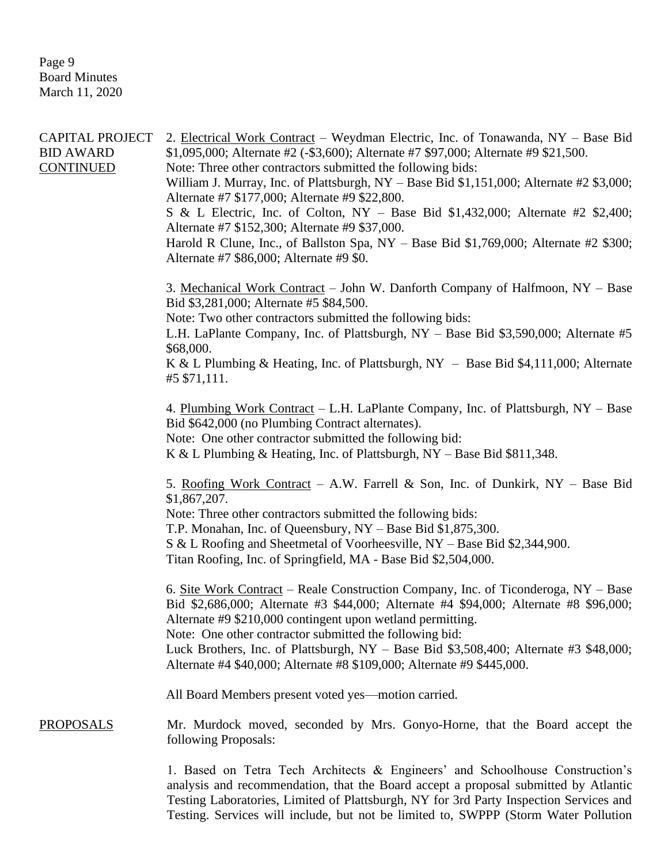Page 9 Board Minutes March 11, 2020

| CAPITAL PROJECT<br><b>BID AWARD</b><br><b>CONTINUED</b> | 2. Electrical Work Contract – Weydman Electric, Inc. of Tonawanda, NY – Base Bid<br>\$1,095,000; Alternate #2 (-\$3,600); Alternate #7 \$97,000; Alternate #9 \$21,500.<br>Note: Three other contractors submitted the following bids:<br>William J. Murray, Inc. of Plattsburgh, NY - Base Bid \$1,151,000; Alternate #2 \$3,000;<br>Alternate #7 \$177,000; Alternate #9 \$22,800.<br>S & L Electric, Inc. of Colton, NY - Base Bid $$1,432,000$ ; Alternate #2 $$2,400$ ;<br>Alternate #7 \$152,300; Alternate #9 \$37,000.<br>Harold R Clune, Inc., of Ballston Spa, $NY - Base$ Bid \$1,769,000; Alternate #2 \$300;<br>Alternate #7 \$86,000; Alternate #9 \$0.<br>3. Mechanical Work Contract – John W. Danforth Company of Halfmoon, NY – Base<br>Bid \$3,281,000; Alternate #5 \$84,500.<br>Note: Two other contractors submitted the following bids:<br>L.H. LaPlante Company, Inc. of Plattsburgh, NY - Base Bid \$3,590,000; Alternate #5<br>\$68,000.<br>K & L Plumbing & Heating, Inc. of Plattsburgh, NY - Base Bid \$4,111,000; Alternate<br>#5 \$71,111.<br>4. Plumbing Work Contract – L.H. LaPlante Company, Inc. of Plattsburgh, NY – Base<br>Bid \$642,000 (no Plumbing Contract alternates).<br>Note: One other contractor submitted the following bid:<br>K & L Plumbing & Heating, Inc. of Plattsburgh, $NY - Base$ Bid \$811,348.<br>5. Roofing Work Contract - A.W. Farrell & Son, Inc. of Dunkirk, NY - Base Bid<br>\$1,867,207.<br>Note: Three other contractors submitted the following bids:<br>T.P. Monahan, Inc. of Queensbury, NY - Base Bid \$1,875,300.<br>S & L Roofing and Sheetmetal of Voorheesville, NY - Base Bid \$2,344,900.<br>Titan Roofing, Inc. of Springfield, MA - Base Bid \$2,504,000.<br>6. Site Work Contract – Reale Construction Company, Inc. of Ticonderoga, NY – Base<br>Bid \$2,686,000; Alternate #3 \$44,000; Alternate #4 \$94,000; Alternate #8 \$96,000;<br>Alternate #9 \$210,000 contingent upon wetland permitting.<br>Note: One other contractor submitted the following bid:<br>Luck Brothers, Inc. of Plattsburgh, $NY - Base$ Bid \$3,508,400; Alternate #3 \$48,000; |
|---------------------------------------------------------|----------------------------------------------------------------------------------------------------------------------------------------------------------------------------------------------------------------------------------------------------------------------------------------------------------------------------------------------------------------------------------------------------------------------------------------------------------------------------------------------------------------------------------------------------------------------------------------------------------------------------------------------------------------------------------------------------------------------------------------------------------------------------------------------------------------------------------------------------------------------------------------------------------------------------------------------------------------------------------------------------------------------------------------------------------------------------------------------------------------------------------------------------------------------------------------------------------------------------------------------------------------------------------------------------------------------------------------------------------------------------------------------------------------------------------------------------------------------------------------------------------------------------------------------------------------------------------------------------------------------------------------------------------------------------------------------------------------------------------------------------------------------------------------------------------------------------------------------------------------------------------------------------------------------------------------------------------------------------------------------------------------------------------------------------------------------------------------------------------------------------------------------|
|                                                         | Alternate #4 \$40,000; Alternate #8 \$109,000; Alternate #9 \$445,000.<br>All Board Members present voted yes-motion carried.                                                                                                                                                                                                                                                                                                                                                                                                                                                                                                                                                                                                                                                                                                                                                                                                                                                                                                                                                                                                                                                                                                                                                                                                                                                                                                                                                                                                                                                                                                                                                                                                                                                                                                                                                                                                                                                                                                                                                                                                                |
|                                                         |                                                                                                                                                                                                                                                                                                                                                                                                                                                                                                                                                                                                                                                                                                                                                                                                                                                                                                                                                                                                                                                                                                                                                                                                                                                                                                                                                                                                                                                                                                                                                                                                                                                                                                                                                                                                                                                                                                                                                                                                                                                                                                                                              |
| <b>PROPOSALS</b>                                        | Mr. Murdock moved, seconded by Mrs. Gonyo-Horne, that the Board accept the<br>following Proposals:                                                                                                                                                                                                                                                                                                                                                                                                                                                                                                                                                                                                                                                                                                                                                                                                                                                                                                                                                                                                                                                                                                                                                                                                                                                                                                                                                                                                                                                                                                                                                                                                                                                                                                                                                                                                                                                                                                                                                                                                                                           |
|                                                         | 1. Based on Tetra Tech Architects & Engineers' and Schoolhouse Construction's                                                                                                                                                                                                                                                                                                                                                                                                                                                                                                                                                                                                                                                                                                                                                                                                                                                                                                                                                                                                                                                                                                                                                                                                                                                                                                                                                                                                                                                                                                                                                                                                                                                                                                                                                                                                                                                                                                                                                                                                                                                                |

analysis and recommendation, that the Board accept a proposal submitted by Atlantic Testing Laboratories, Limited of Plattsburgh, NY for 3rd Party Inspection Services and Testing. Services will include, but not be limited to, SWPPP (Storm Water Pollution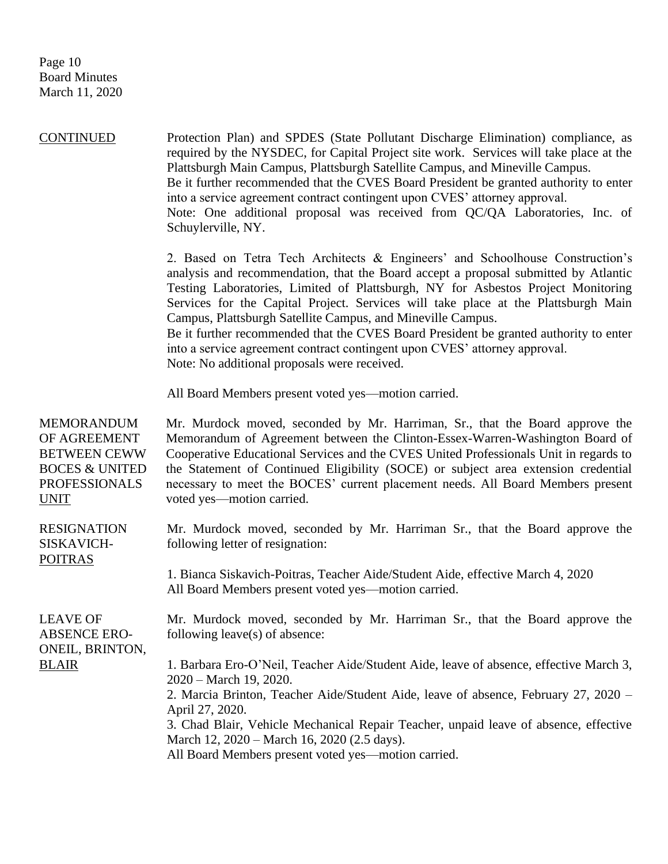Page 10 Board Minutes March 11, 2020

CONTINUED Protection Plan) and SPDES (State Pollutant Discharge Elimination) compliance, as required by the NYSDEC, for Capital Project site work. Services will take place at the Plattsburgh Main Campus, Plattsburgh Satellite Campus, and Mineville Campus. Be it further recommended that the CVES Board President be granted authority to enter into a service agreement contract contingent upon CVES' attorney approval. Note: One additional proposal was received from QC/QA Laboratories, Inc. of Schuylerville, NY. 2. Based on Tetra Tech Architects & Engineers' and Schoolhouse Construction's analysis and recommendation, that the Board accept a proposal submitted by Atlantic Testing Laboratories, Limited of Plattsburgh, NY for Asbestos Project Monitoring Services for the Capital Project. Services will take place at the Plattsburgh Main Campus, Plattsburgh Satellite Campus, and Mineville Campus. Be it further recommended that the CVES Board President be granted authority to enter into a service agreement contract contingent upon CVES' attorney approval.

Note: No additional proposals were received.

All Board Members present voted yes—motion carried.

| <b>MEMORANDUM</b><br>OF AGREEMENT<br><b>BETWEEN CEWW</b><br><b>BOCES &amp; UNITED</b><br><b>PROFESSIONALS</b><br><u>UNIT</u> | Mr. Murdock moved, seconded by Mr. Harriman, Sr., that the Board approve the<br>Memorandum of Agreement between the Clinton-Essex-Warren-Washington Board of<br>Cooperative Educational Services and the CVES United Professionals Unit in regards to<br>the Statement of Continued Eligibility (SOCE) or subject area extension credential<br>necessary to meet the BOCES' current placement needs. All Board Members present<br>voted yes—motion carried. |
|------------------------------------------------------------------------------------------------------------------------------|-------------------------------------------------------------------------------------------------------------------------------------------------------------------------------------------------------------------------------------------------------------------------------------------------------------------------------------------------------------------------------------------------------------------------------------------------------------|
| <b>RESIGNATION</b><br>SISKAVICH-<br><b>POITRAS</b>                                                                           | Mr. Murdock moved, seconded by Mr. Harriman Sr., that the Board approve the<br>following letter of resignation:                                                                                                                                                                                                                                                                                                                                             |
|                                                                                                                              | 1. Bianca Siskavich-Poitras, Teacher Aide/Student Aide, effective March 4, 2020<br>All Board Members present voted yes—motion carried.                                                                                                                                                                                                                                                                                                                      |
| <b>LEAVE OF</b><br><b>ABSENCE ERO-</b><br>ONEIL, BRINTON,                                                                    | Mr. Murdock moved, seconded by Mr. Harriman Sr., that the Board approve the<br>following leave(s) of absence:                                                                                                                                                                                                                                                                                                                                               |
| <b>BLAIR</b>                                                                                                                 | 1. Barbara Ero-O'Neil, Teacher Aide/Student Aide, leave of absence, effective March 3,<br>2020 – March 19, 2020.                                                                                                                                                                                                                                                                                                                                            |
|                                                                                                                              | 2. Marcia Brinton, Teacher Aide/Student Aide, leave of absence, February 27, 2020 –<br>April 27, 2020.                                                                                                                                                                                                                                                                                                                                                      |
|                                                                                                                              | 3. Chad Blair, Vehicle Mechanical Repair Teacher, unpaid leave of absence, effective<br>March 12, 2020 – March 16, 2020 (2.5 days).                                                                                                                                                                                                                                                                                                                         |
|                                                                                                                              | All Board Members present voted yes—motion carried.                                                                                                                                                                                                                                                                                                                                                                                                         |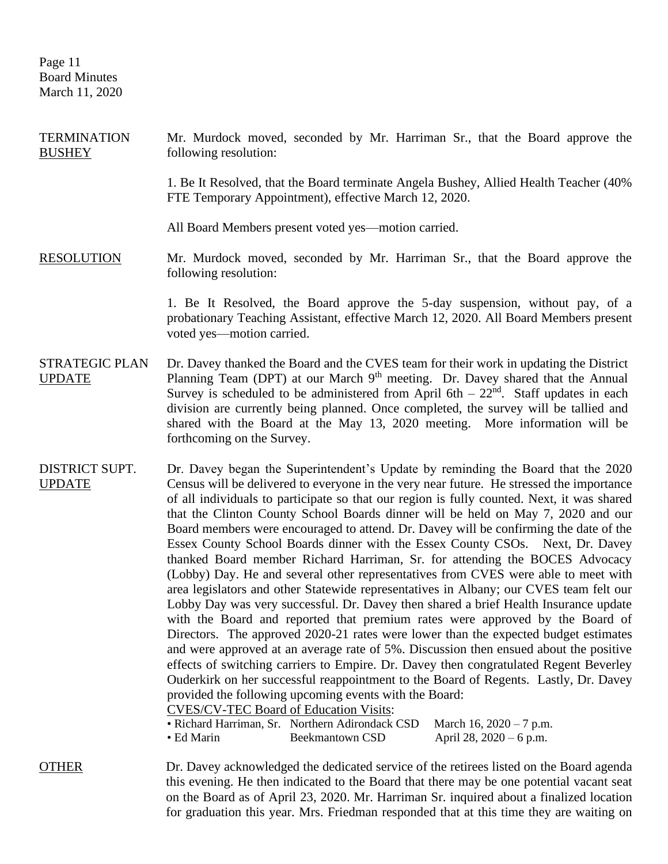Page 11 Board Minutes March 11, 2020

**TERMINATION BUSHEY** Mr. Murdock moved, seconded by Mr. Harriman Sr., that the Board approve the following resolution:

> 1. Be It Resolved, that the Board terminate Angela Bushey, Allied Health Teacher (40% FTE Temporary Appointment), effective March 12, 2020.

All Board Members present voted yes—motion carried.

RESOLUTION Mr. Murdock moved, seconded by Mr. Harriman Sr., that the Board approve the following resolution:

> 1. Be It Resolved, the Board approve the 5-day suspension, without pay, of a probationary Teaching Assistant, effective March 12, 2020. All Board Members present voted yes—motion carried.

- STRATEGIC PLAN UPDATE Dr. Davey thanked the Board and the CVES team for their work in updating the District Planning Team (DPT) at our March 9<sup>th</sup> meeting. Dr. Davey shared that the Annual Survey is scheduled to be administered from April  $6th - 22<sup>nd</sup>$ . Staff updates in each division are currently being planned. Once completed, the survey will be tallied and shared with the Board at the May 13, 2020 meeting. More information will be forthcoming on the Survey.
- DISTRICT SUPT. UPDATE Dr. Davey began the Superintendent's Update by reminding the Board that the 2020 Census will be delivered to everyone in the very near future. He stressed the importance of all individuals to participate so that our region is fully counted. Next, it was shared that the Clinton County School Boards dinner will be held on May 7, 2020 and our Board members were encouraged to attend. Dr. Davey will be confirming the date of the Essex County School Boards dinner with the Essex County CSOs. Next, Dr. Davey thanked Board member Richard Harriman, Sr. for attending the BOCES Advocacy (Lobby) Day. He and several other representatives from CVES were able to meet with area legislators and other Statewide representatives in Albany; our CVES team felt our Lobby Day was very successful. Dr. Davey then shared a brief Health Insurance update with the Board and reported that premium rates were approved by the Board of Directors. The approved 2020-21 rates were lower than the expected budget estimates and were approved at an average rate of 5%. Discussion then ensued about the positive effects of switching carriers to Empire. Dr. Davey then congratulated Regent Beverley Ouderkirk on her successful reappointment to the Board of Regents. Lastly, Dr. Davey provided the following upcoming events with the Board:

CVES/CV-TEC Board of Education Visits:

|  | • Richard Harriman, Sr. Northern Adirondack CSD March 16, 2020 – 7 p.m. |  |
|--|-------------------------------------------------------------------------|--|
|--|-------------------------------------------------------------------------|--|

• Ed Marin Beekmantown CSD April 28, 2020 – 6 p.m.

OTHER Dr. Davey acknowledged the dedicated service of the retirees listed on the Board agenda this evening. He then indicated to the Board that there may be one potential vacant seat on the Board as of April 23, 2020. Mr. Harriman Sr. inquired about a finalized location for graduation this year. Mrs. Friedman responded that at this time they are waiting on